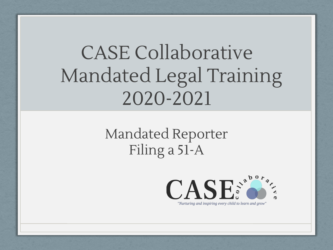#### CASE Collaborative Mandated Legal Training 2020-2021

Mandated Reporter Filing a 51-A



"Nurturing and inspiring every child to learn and grow"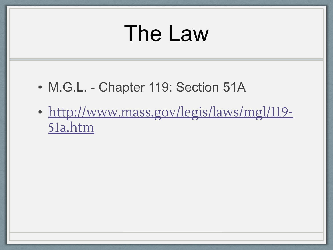## The Law

- M.G.L. Chapter 119: Section 51A
- [http://www.mass.gov/legis/laws/mgl/119-](http://www.mass.gov/legis/laws/mgl/119-51a.htm) [51a.htm](http://www.mass.gov/legis/laws/mgl/119-51a.htm)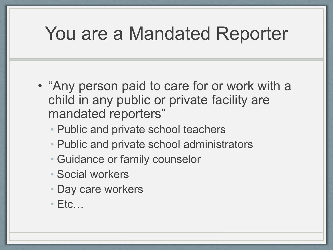#### You are a Mandated Reporter

- "Any person paid to care for or work with a child in any public or private facility are mandated reporters"
	- Public and private school teachers
	- Public and private school administrators
	- Guidance or family counselor
	- Social workers
	- Day care workers
	- $\cdot$  Etc...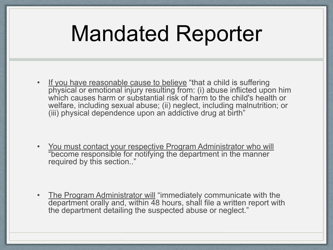# Mandated Reporter

If you have reasonable cause to believe "that a child is suffering physical or emotional injury resulting from: (i) abuse inflicted upon him which causes harm or substantial risk of harm to the child's health or welfare, including sexual abuse; (ii) neglect, including malnutrition; or (iii) physical dependence upon an addictive drug at birth"

• You must contact your respective Program Administrator who will "become responsible for notifying the department in the manner required by this section.."

• The Program Administrator will "immediately communicate with the department orally and, within 48 hours, shall file a written report with the department detailing the suspected abuse or neglect."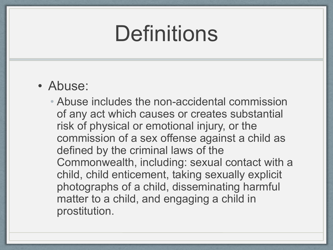## **Definitions**

- Abuse:
	- Abuse includes the non-accidental commission of any act which causes or creates substantial risk of physical or emotional injury, or the commission of a sex offense against a child as defined by the criminal laws of the Commonwealth, including: sexual contact with a child, child enticement, taking sexually explicit photographs of a child, disseminating harmful matter to a child, and engaging a child in prostitution.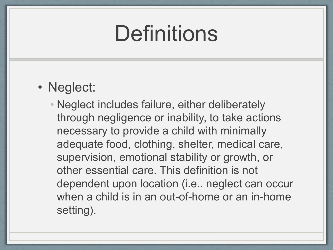## **Definitions**

- Neglect:
	- Neglect includes failure, either deliberately through negligence or inability, to take actions necessary to provide a child with minimally adequate food, clothing, shelter, medical care, supervision, emotional stability or growth, or other essential care. This definition is not dependent upon location (i.e.. neglect can occur when a child is in an out-of-home or an in-home setting).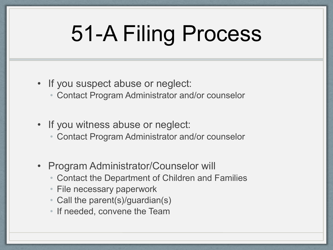# 51-A Filing Process

- If you suspect abuse or neglect:
	- Contact Program Administrator and/or counselor
- If you witness abuse or neglect:
	- Contact Program Administrator and/or counselor
- Program Administrator/Counselor will
	- Contact the Department of Children and Families
	- File necessary paperwork
	- Call the parent(s)/guardian(s)
	- If needed, convene the Team